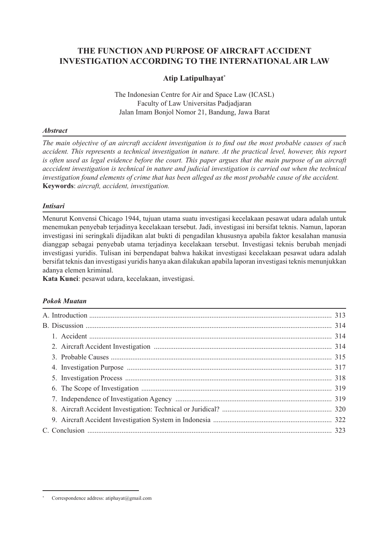# **THE FUNCTION AND PURPOSE OF AIRCRAFT ACCIDENT INVESTIGATION ACCORDING TO THE INTERNATIONAL AIR LAW**

## **Atip Latipulhayat\***

The Indonesian Centre for Air and Space Law (ICASL) Faculty of Law Universitas Padjadjaran Jalan Imam Bonjol Nomor 21, Bandung, Jawa Barat

## *Abstract*

*The main objective of an aircraft accident investigation is to find out the most probable causes of such accident. This represents a technical investigation in nature. At the practical level, however, this report is often used as legal evidence before the court. This paper argues that the main purpose of an aircraft acccident investigation is technical in nature and judicial investigation is carried out when the technical investigation found elements of crime that has been alleged as the most probable cause of the accident.*  **Keywords**: *aircraft, accident, investigation.*

## *Intisari*

Menurut Konvensi Chicago 1944, tujuan utama suatu investigasi kecelakaan pesawat udara adalah untuk menemukan penyebab terjadinya kecelakaan tersebut. Jadi, investigasi ini bersifat teknis. Namun, laporan investigasi ini seringkali dijadikan alat bukti di pengadilan khususnya apabila faktor kesalahan manusia dianggap sebagai penyebab utama terjadinya kecelakaan tersebut. Investigasi teknis berubah menjadi investigasi yuridis. Tulisan ini berpendapat bahwa hakikat investigasi kecelakaan pesawat udara adalah bersifat teknis dan investigasi yuridis hanya akan dilakukan apabila laporan investigasi teknis menunjukkan adanya elemen kriminal.

**Kata Kunci**: pesawat udara, kecelakaan, investigasi.

## *Pokok Muatan*

Correspondence address: atiphayat@gmail.com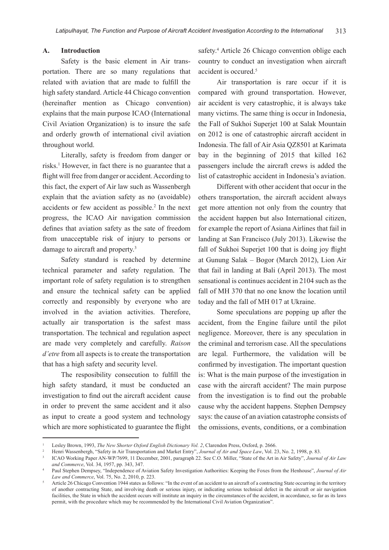#### **A. Introduction**

Safety is the basic element in Air transportation. There are so many regulations that related with aviation that are made to fulfill the high safety standard. Article 44 Chicago convention (hereinafter mention as Chicago convention) explains that the main purpose ICAO (International Civil Aviation Organization) is to insure the safe and orderly growth of international civil aviation throughout world.

Literally, safety is freedom from danger or risks.1 However, in fact there is no guarantee that a flight will free from danger or accident. According to this fact, the expert of Air law such as Wassenbergh explain that the aviation safety as no (avoidable) accidents or few accident as possible.<sup>2</sup> In the next progress, the ICAO Air navigation commission defines that aviation safety as the sate of freedom from unacceptable risk of injury to persons or damage to aircraft and property.3

Safety standard is reached by determine technical parameter and safety regulation. The important role of safety regulation is to strengthen and ensure the technical safety can be applied correctly and responsibly by everyone who are involved in the aviation activities. Therefore, actually air transportation is the safest mass transportation. The technical and regulation aspect are made very completely and carefully. *Raison d'etre* from all aspects is to create the transportation that has a high safety and security level.

The resposibility consecution to fulfill the high safety standard, it must be conducted an investigation to find out the aircraft accident cause in order to prevent the same accident and it also as input to create a good system and technology which are more sophisticated to guarantee the flight

safety.<sup>4</sup> Article 26 Chicago convention oblige each country to conduct an investigation when aircraft accident is occured.5

Air transportation is rare occur if it is compared with ground transportation. However, air accident is very catastrophic, it is always take many victims. The same thing is occur in Indonesia, the Fall of Sukhoi Superjet 100 at Salak Mountain on 2012 is one of catastrophic aircraft accident in Indonesia. The fall of Air Asia QZ8501 at Karimata bay in the beginning of 2015 that killed 162 passengers include the aircraft crews is added the list of catastrophic accident in Indonesia's aviation.

Different with other accident that occur in the others transportation, the aircraft accident always get more attention not only from the country that the accident happen but also International citizen, for example the report of Asiana Airlines that fail in landing at San Francisco (July 2013). Likewise the fall of Sukhoi Superjet 100 that is doing joy flight at Gunung Salak – Bogor (March 2012), Lion Air that fail in landing at Bali (April 2013). The most sensational is continues accident in 2104 such as the fall of MH 370 that no one know the location until today and the fall of MH 017 at Ukraine.

Some speculations are popping up after the accident, from the Engine failure until the pilot negligence. Moreover, there is any speculation in the criminal and terrorism case. All the speculations are legal. Furthermore, the validation will be confirmed by investigation. The important question is: What is the main purpose of the investigation in case with the aircraft accident? The main purpose from the investigation is to find out the probable cause why the accident happens. Stephen Dempsey says: the cause of an aviation catastrophe consists of the omissions, events, conditions, or a combination

Lesley Brown, 1993, The New Shorter Oxford English Dictionary Vol. 2, Clarendon Press, Oxford, p. 2666.<br>Henri Wassenbergh, "Safety in Air Transportation and Market Entry", Journal of Air and Space Law, Vol. 23, No. 2, 1998

<sup>3</sup> ICAO Working Paper AN-WP/7699, 11 December, 2001, paragraph 22. See C.O. Miller, "State of the Art in Air Safety", *Journal of Air Law and Commerce*, Vol. 34, 1957, pp. 343, 347.

<sup>4</sup> Paul Stephen Dempsey, "Independence of Aviation Safety Investigation Authorities: Keeping the Foxes from the Henhouse", *Journal of Air Law and Commerce*, Vol. 75, No. 2, 2010, p. 223.

<sup>5</sup> Article 26 Chicago Convention 1944 states as follows: "In the event of an accident to an aircraft of a contracting State occurring in the territory of another contracting State, and involving death or serious injury, or indicating serious technical defect in the aircraft or air navigation facilities, the State in which the accident occurs will institute an inquiry in the circumstances of the accident, in accordance, so far as its laws permit, with the procedure which may be recommended by the International Civil Aviation Organization".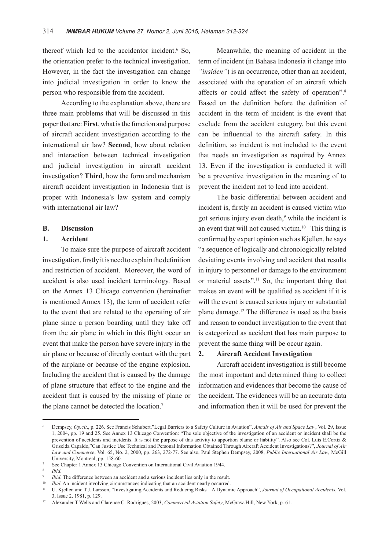thereof which led to the accidentor incident.<sup>6</sup> So, the orientation prefer to the technical investigation. However, in the fact the investigation can change into judicial investigation in order to know the person who responsible from the accident.

According to the explanation above, there are three main problems that will be discussed in this paper that are: **First**, what is the function and purpose of aircraft accident investigation according to the international air law? **Second**, how about relation and interaction between technical investigation and judicial investigation in aircraft accident investigation? **Third**, how the form and mechanism aircraft accident investigation in Indonesia that is proper with Indonesia's law system and comply with international air law?

#### **B. Discussion**

### **1. Accident**

To make sure the purpose of aircraft accident investigation, firstly it is need to explain the definition and restriction of accident. Moreover, the word of accident is also used incident terminology. Based on the Annex 13 Chicago convention (hereinafter is mentioned Annex 13), the term of accident refer to the event that are related to the operating of air plane since a person boarding until they take off from the air plane in which in this flight occur an event that make the person have severe injury in the air plane or because of directly contact with the part of the airplane or because of the engine explosion. Including the accident that is caused by the damage of plane structure that effect to the engine and the accident that is caused by the missing of plane or the plane cannot be detected the location.<sup>7</sup>

Meanwhile, the meaning of accident in the term of incident (in Bahasa Indonesia it change into *"insiden"*) is an occurrence, other than an accident, associated with the operation of an aircraft which affects or could affect the safety of operation".8 Based on the definition before the definition of accident in the term of incident is the event that exclude from the accident category, but this event can be influential to the aircraft safety. In this definition, so incident is not included to the event that needs an investigation as required by Annex 13. Even if the investigation is conducted it will be a preventive investigation in the meaning of to prevent the incident not to lead into accident.

The basic differential between accident and incident is, firstly an accident is caused victim who got serious injury even death,<sup>9</sup> while the incident is an event that will not caused victim.<sup>10</sup> This thing is confirmed by expert opinion such as Kjellen, he says "a sequence of logically and chronologically related deviating events involving and accident that results in injury to personnel or damage to the environment or material assets".11 So, the important thing that makes an event will be qualified as accident if it is will the event is caused serious injury or substantial plane damage.12 The difference is used as the basis and reason to conduct investigation to the event that is categorized as accident that has main purpose to prevent the same thing will be occur again.

### **2. Aircraft Accident Investigation**

Aircraft accident investigation is still become the most important and determined thing to collect information and evidences that become the cause of the accident. The evidences will be an accurate data and information then it will be used for prevent the

<sup>6</sup> Dempsey, *Op.cit*., p. 226. See Francis Schubert,"Legal Barriers to a Safety Culture in Aviation", *Annals of Air and Space Law*, Vol. 29, Issue 1, 2004, pp. 19 and 25. See Annex 13 Chicago Convention: "The sole objective of the investigation of an accident or incident shall be the prevention of accidents and incidents. It is not the purpose of this activity to apportion blame or liability". Also see Col. Luis E.Cortiz & Griselda Capaldo,"Can Justice Use Technical and Personal Information Obtained Through Aircraft Accident Investigations?", *Journal of Air Law and Commerce*, Vol. 65, No. 2, 2000, pp. 263, 272-77. See also, Paul Stephen Dempsey, 2008, *Public International Air Law*, McGill University, Montreal, pp. 158-60.

<sup>7</sup> See Chapter 1 Annex 13 Chicago Convention on International Civil Aviation 1944.

<sup>8</sup> *Ibid*.

*Ibid*. The difference between an accident and a serious incident lies only in the result.

<sup>&</sup>lt;sup>10</sup> *Ibid.* An incident involving circumstances indicating that an accident nearly occurred.<br><sup>11</sup> *II Viallen and* TJ Largeon "Investigating Accidents and Bedueing Pisks. A Dynami

<sup>11</sup> U. Kjellen and T.J. Larsson, "Investigating Accidents and Reducing Risks – A Dynamic Approach", *Journal of Occupational Accidents*, Vol. 3, Issue 2, 1981, p. 129.

<sup>12</sup> Alexander T Wells and Clarence C. Rodrigues, 2003, *Commercial Aviation Safety*, McGraw-Hill, New York, p. 61.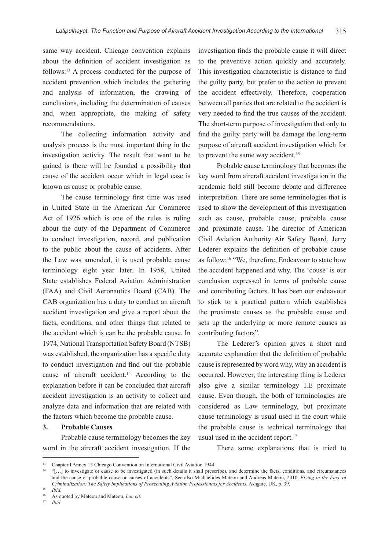same way accident. Chicago convention explains about the definition of accident investigation as follows:13 A process conducted for the purpose of accident prevention which includes the gathering and analysis of information, the drawing of conclusions, including the determination of causes and, when appropriate, the making of safety recommendations.

The collecting information activity and analysis process is the most important thing in the investigation activity. The result that want to be gained is there will be founded a possibility that cause of the accident occur which in legal case is known as cause or probable cause.

The cause terminology first time was used in United State in the American Air Commerce Act of 1926 which is one of the rules is ruling about the duty of the Department of Commerce to conduct investigation, record, and publication to the public about the cause of accidents. After the Law was amended, it is used probable cause terminology eight year later. In 1958, United State establishes Federal Aviation Administration (FAA) and Civil Aeronautics Board (CAB). The CAB organization has a duty to conduct an aircraft accident investigation and give a report about the facts, conditions, and other things that related to the accident which is can be the probable cause. In 1974, National Transportation Safety Board (NTSB) was established, the organization has a specific duty to conduct investigation and find out the probable cause of aircraft accident.<sup>14</sup> According to the explanation before it can be concluded that aircraft accident investigation is an activity to collect and analyze data and information that are related with the factors which become the probable cause.

#### **3. Probable Causes**

Probable cause terminology becomes the key word in the aircraft accident investigation. If the investigation finds the probable cause it will direct to the preventive action quickly and accurately. This investigation characteristic is distance to find the guilty party, but prefer to the action to prevent the accident effectively. Therefore, cooperation between all parties that are related to the accident is very needed to find the true causes of the accident. The short-term purpose of investigation that only to find the guilty party will be damage the long-term purpose of aircraft accident investigation which for to prevent the same way accident.<sup>15</sup>

Probable cause terminology that becomes the key word from aircraft accident investigation in the academic field still become debate and difference interpretation. There are some terminologies that is used to show the development of this investigation such as cause, probable cause, probable cause and proximate cause. The director of American Civil Aviation Authority Air Safety Board, Jerry Lederer explains the definition of probable cause as follow;16 "We, therefore, Endeavour to state how the accident happened and why. The 'couse' is our conclusion expressed in terms of probable cause and contributing factors. It has been our endeavour to stick to a practical pattern which establishes the proximate causes as the probable cause and sets up the underlying or more remote causes as contributing factors".

The Lederer's opinion gives a short and accurate explanation that the definition of probable cause is represented by word why, why an accident is occurred. However, the interesting thing is Lederer also give a similar terminology I.E proximate cause. Even though, the both of terminologies are considered as Law terminology, but proximate cause terminology is usual used in the court while the probable cause is technical terminology that usual used in the accident report.<sup>17</sup>

There some explanations that is tried to

<sup>&</sup>lt;sup>13</sup> Chapter I Annex 13 Chicago Convention on International Civil Aviation 1944.

<sup>14</sup> "[…] to investigate or cause to be investigated (in such details it shall prescribe), and determine the facts, conditions, and circumstances and the cause or probable cause or causes of accidents". See also Michaelides Mateou and Andreas Mateou, 2010, *Flying in the Face of Criminalization: The Safety Implications of Prosecuting Aviation Professionals for Accidents*, Ashgate, UK, p. 39.

 $15$  *Ibid.* 

<sup>&</sup>lt;sup>16</sup> As quoted by Mateou and Mateou, *Loc.cit.*<br><sup>17</sup> *Ibid* 

<sup>17</sup> *Ibid*.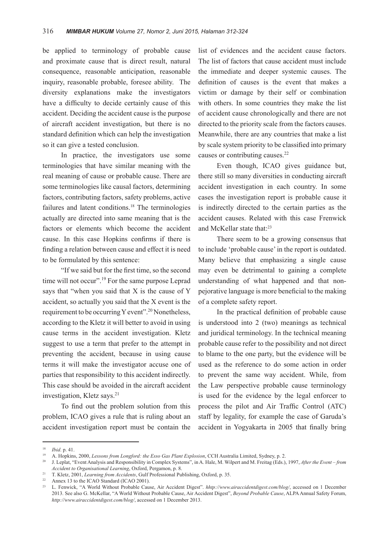be applied to terminology of probable cause and proximate cause that is direct result, natural consequence, reasonable anticipation, reasonable inquiry, reasonable probable, foresee ability. The diversity explanations make the investigators have a difficulty to decide certainly cause of this accident. Deciding the accident cause is the purpose of aircraft accident investigation, but there is no standard definition which can help the investigation so it can give a tested conclusion.

In practice, the investigators use some terminologies that have similar meaning with the real meaning of cause or probable cause. There are some terminologies like causal factors, determining factors, contributing factors, safety problems, active failures and latent conditions.<sup>18</sup> The terminologies actually are directed into same meaning that is the factors or elements which become the accident cause. In this case Hopkins confirms if there is finding a relation between cause and effect it is need to be formulated by this sentence:

"If we said but for the first time, so the second time will not occur".<sup>19</sup> For the same purpose Leprad says that "when you said that X is the cause of Y accident, so actually you said that the X event is the requirement to be occurring Y event".20 Nonetheless, according to the Kletz it will better to avoid in using cause terms in the accident investigation. Kletz suggest to use a term that prefer to the attempt in preventing the accident, because in using cause terms it will make the investigator accuse one of parties that responsibility to this accident indirectly. This case should be avoided in the aircraft accident investigation, Kletz says.<sup>21</sup>

To find out the problem solution from this problem, ICAO gives a rule that is ruling about an accident investigation report must be contain the list of evidences and the accident cause factors. The list of factors that cause accident must include the immediate and deeper systemic causes. The definition of causes is the event that makes a victim or damage by their self or combination with others. In some countries they make the list of accident cause chronologically and there are not directed to the priority scale from the factors causes. Meanwhile, there are any countries that make a list by scale system priority to be classified into primary causes or contributing causes.<sup>22</sup>

Even though, ICAO gives guidance but, there still so many diversities in conducting aircraft accident investigation in each country. In some cases the investigation report is probable cause it is indirectly directed to the certain parties as the accident causes. Related with this case Frenwick and McKellar state that:<sup>23</sup>

There seem to be a growing consensus that to include 'probable cause' in the report is outdated. Many believe that emphasizing a single cause may even be detrimental to gaining a complete understanding of what happened and that nonpejorative language is more beneficial to the making of a complete safety report.

In the practical definition of probable cause is understood into 2 (two) meanings as technical and juridical terminology. In the technical meaning probable cause refer to the possibility and not direct to blame to the one party, but the evidence will be used as the reference to do some action in order to prevent the same way accident. While, from the Law perspective probable cause terminology is used for the evidence by the legal enforcer to process the pilot and Air Traffic Control (ATC) staff by legality, for example the case of Garuda's accident in Yogyakarta in 2005 that finally bring

<sup>18</sup> *Ibid*. p. 41.

<sup>19</sup> A. Hopkins, 2000, *Lessons from Longford: the Esso Gas Plant Explosion*, CCH Australia Limited, Sydney, p. 2.

<sup>20</sup> J. Leplat, "Event Analysis and Responsibility in Complex Systems", in A. Hale, M. Wilpert and M. Freitag (Eds.), 1997, *After the Event – from Accident to Organisational Learning*, Oxford, Pergamon, p. 8.

<sup>&</sup>lt;sup>21</sup> T. Kletz, 2001, *Learning from Accidents*, Gulf Professional Publishing, Oxford, p. 35.

<sup>&</sup>lt;sup>22</sup> Annex 13 to the ICAO Standard (ICAO 2001).<br><sup>23</sup> L. Epaviels, "A World Without Brabable Cour

<sup>23</sup> L. Fenwick, "A World Without Probable Cause, Air Accident Digest". *hhtp://www.airaccidentdigest.com/blog/*, accessed on 1 December 2013. See also G. McKellar, "A World Without Probable Cause, Air Accident Digest", *Beyond Probable Cause*, ALPA Annual Safety Forum, *http://www.airaccidentdigest.com/blog/*, accessed on 1 December 2013.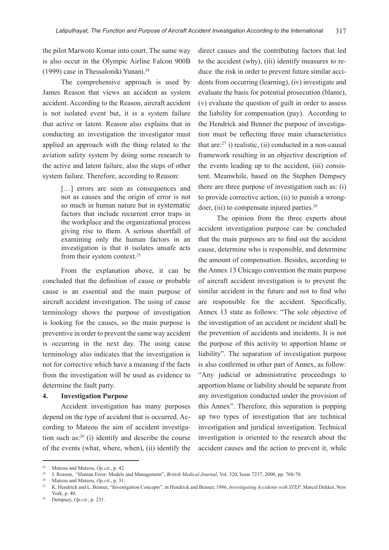the pilot Marwoto Komar into court. The same way is also occur in the Olympic Airline Falcon 900B (1999) case in Thessaloniki Yunani.24

The comprehensive approach is used by James Reason that views an accident as system accident. According to the Reason, aircraft accident is not isolated event but, it is a system failure that active or latent. Reason also explains that in conducting an investigation the investigator must applied an approach with the thing related to the aviation safety system by doing some research to the active and latent failure, also the steps of other system failure. Therefore, according to Reason:

> [...] errors are seen as consequences and not as causes and the origin of error is not so much in human nature but in systematic factors that include recurrent error traps in the workplace and the organizational process giving rise to them. A serious shortfall of examining only the human factors in an investigation is that it isolates unsafe acts from their system context.<sup>25</sup>

From the explanation above, it can be concluded that the definition of cause or probable cause is an essential and the main purpose of aircraft accident investigation. The using of cause terminology shows the purpose of investigation is looking for the causes, so the main purpose is preventive in order to prevent the same way accident is occurring in the next day. The using cause terminology also indicates that the investigation is not for corrective which have a meaning if the facts from the investigation will be used as evidence to determine the fault party.

#### **4. Investigation Purpose**

Accident investigation has many purposes depend on the type of accident that is occurred. According to Mateou the aim of accident investigation such as:26 (i) identify and describe the course of the events (what, where, when), (ii) identify the direct causes and the contributing factors that led to the accident (why), (iii) identify measures to reduce the risk in order to prevent future similar accidents from occurring (learning), (iv) investigate and evaluate the basis for potential prosecution (blame), (v) evaluate the question of guilt in order to assess the liability for compensation (pay). According to the Hendrick and Benner the purpose of investigation must be reflecting three main characteristics that are: $27$  i) realistic, (ii) conducted in a non-causal framework resulting in an objective description of the events leading up to the accident, (iii) consistent. Meanwhile, based on the Stephen Dempsey there are three purpose of investigation such as: (i) to provide corrective action, (ii) to punish a wrongdoer, (iii) to compensate injured parties.<sup>28</sup>

The opinion from the three experts about accident investigation purpose can be concluded that the main purposes are to find out the accident cause, determine who is responsible, and determine the amount of compensation. Besides, according to the Annex 13 Chicago convention the main purpose of aircraft accident investigation is to prevent the similar accident in the future and not to find who are responsible for the accident. Specifically, Annex 13 state as follows: "The sole objective of the investigation of an accident or incident shall be the prevention of accidents and incidents. It is not the purpose of this activity to apportion blame or liability". The separation of investigation purpose is also confirmed in other part of Annex, as follow: "Any judicial or administrative proceedings to apportion blame or liability should be separate from any investigation conducted under the provision of this Annex". Therefore, this separation is popping up two types of investigation that are technical investigation and juridical investigation. Technical investigation is oriented to the research about the accident causes and the action to prevent it, while

<sup>24</sup> Mateou and Mateou, *Op.cit*., p. 42.

<sup>25</sup> J. Reason, "Human Error: Models and Management", *British Medical Journal*, Vol. 320, Issue 7237, 2000, pp. 768-70.

<sup>&</sup>lt;sup>26</sup> Mateou and Mateou, *Op.cit.*, p. 31.<br><sup>27</sup> *V* Handrick and L. Bannar "Invest"

<sup>27</sup> K. Hendrick and L. Benner, "Investigation Concepts", in Hendrick and Benner, 1986, *Investigating Accidents with STEP*, Marcel Dekker, New York, p. 40.

<sup>28</sup> Dempsey, *Op.cit*., p. 231.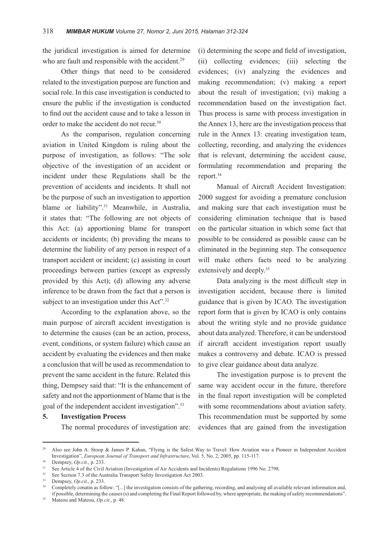the juridical investigation is aimed for determine who are fault and responsible with the accident.<sup>29</sup>

Other things that need to be considered related to the investigation purpose are function and social role. In this case investigation is conducted to ensure the public if the investigation is conducted to find out the accident cause and to take a lesson in order to make the accident do not recur.<sup>30</sup>

As the comparison, regulation concerning aviation in United Kingdom is ruling about the purpose of investigation, as follows: "The sole objective of the investigation of an accident or incident under these Regulations shall be the prevention of accidents and incidents. It shall not be the purpose of such an investigation to apportion blame or liability".<sup>31</sup> Meanwhile, in Australia, it states that: "The following are not objects of this Act: (a) apportioning blame for transport accidents or incidents; (b) providing the means to determine the liability of any person in respect of a transport accident or incident; (c) assisting in court proceedings between parties (except as expressly provided by this Act); (d) allowing any adverse inference to be drawn from the fact that a person is subject to an investigation under this Act".<sup>32</sup>

According to the explanation above, so the main purpose of aircraft accident investigation is to determine the causes (can be an action, process, event, conditions, or system failure) which cause an accident by evaluating the evidences and then make a conclusion that will be used as recommendation to prevent the same accident in the future. Related this thing, Dempsey said that: "It is the enhancement of safety and not the apportionment of blame that is the goal of the independent accident investigation".33

#### **5. Investigation Process**

The normal procedures of investigation are:

(i) determining the scope and field of investigation, (ii) collecting evidences; (iii) selecting the evidences; (iv) analyzing the evidences and making recommendation; (v) making a report about the result of investigation; (vi) making a recommendation based on the investigation fact. Thus process is same with process investigation in the Annex 13, here are the investigation process that rule in the Annex 13: creating investigation team, collecting, recording, and analyzing the evidences that is relevant, determining the accident cause, formulating recommendation and preparing the report.<sup>34</sup>

Manual of Aircraft Accident Investigation: 2000 suggest for avoiding a premature conclusion and making sure that each investigation must be considering elimination technique that is based on the particular situation in which some fact that possible to be considered as possible cause can be eliminated in the beginning step. The consequence will make others facts need to be analyzing extensively and deeply.<sup>35</sup>

Data analyzing is the most difficult step in investigation accident, because there is limited guidance that is given by ICAO. The investigation report form that is given by ICAO is only contains about the writing style and no provide guidance about data analyzed. Therefore, it can be understood if aircraft accident investigation report usually makes a controversy and debate. ICAO is pressed to give clear guidance about data analyze.

The investigation purpose is to prevent the same way accident occur in the future, therefore in the final report investigation will be completed with some recommendations about aviation safety. This recommendation must be supported by some evidences that are gained from the investigation

<sup>35</sup> Mateou and Mateou, *Op.cit*., p. 48.

<sup>&</sup>lt;sup>29</sup> Also see John A. Stoop & James P. Kahan, "Flying is the Safest Way to Travel: How Aviation was a Pioneer in Independent Accident Investigation", *European Journal of Transport and Infrastructure*, Vol. 5, No. 2, 2005, pp. 115-117.

 $30$  Dempsey, *Op.cit.*, p. 233.

<sup>&</sup>lt;sup>31</sup> See Article 4 of the Civil Aviation (Investigation of Air Accidents and Incidents) Regulations 1996 No. 2798.

See Section 7.3 of the Australia Transport Safety Investigation Act 2003.

<sup>33</sup> Dempsey, *Op.cit*., p. 233.

<sup>&</sup>lt;sup>34</sup> Completely conatin as follow: "[...] the investigation consists of the gathering, recording, and analysing all available relevant information and, if possible, determining the causes (s) and completing the Final Report followed by, where appropriate, the making of safety recommendations".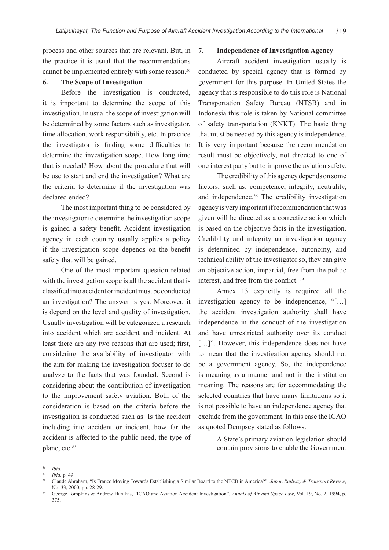process and other sources that are relevant. But, in the practice it is usual that the recommendations cannot be implemented entirely with some reason.<sup>36</sup>

### **6. The Scope of Investigation**

Before the investigation is conducted, it is important to determine the scope of this investigation. In usual the scope of investigation will be determined by some factors such as investigator, time allocation, work responsibility, etc. In practice the investigator is finding some difficulties to determine the investigation scope. How long time that is needed? How about the procedure that will be use to start and end the investigation? What are the criteria to determine if the investigation was declared ended?

The most important thing to be considered by the investigator to determine the investigation scope is gained a safety benefit. Accident investigation agency in each country usually applies a policy if the investigation scope depends on the benefit safety that will be gained.

One of the most important question related with the investigation scope is all the accident that is classified into accident or incident must be conducted an investigation? The answer is yes. Moreover, it is depend on the level and quality of investigation. Usually investigation will be categorized a research into accident which are accident and incident. At least there are any two reasons that are used; first, considering the availability of investigator with the aim for making the investigation focuser to do analyze to the facts that was founded. Second is considering about the contribution of investigation to the improvement safety aviation. Both of the consideration is based on the criteria before the investigation is conducted such as: Is the accident including into accident or incident, how far the accident is affected to the public need, the type of plane, etc.<sup>37</sup>

#### **7. Independence of Investigation Agency**

Aircraft accident investigation usually is conducted by special agency that is formed by government for this purpose. In United States the agency that is responsible to do this role is National Transportation Safety Bureau (NTSB) and in Indonesia this role is taken by National committee of safety transportation (KNKT). The basic thing that must be needed by this agency is independence. It is very important because the recommendation result must be objectively, not directed to one of one interest party but to improve the aviation safety.

The credibility of this agency depends on some factors, such as: competence, integrity, neutrality, and independence.<sup>38</sup> The credibility investigation agency is very important if recommendation that was given will be directed as a corrective action which is based on the objective facts in the investigation. Credibility and integrity an investigation agency is determined by independence, autonomy, and technical ability of the investigator so, they can give an objective action, impartial, free from the politic interest, and free from the conflict. <sup>39</sup>

Annex 13 explicitly is required all the investigation agency to be independence, "[…] the accident investigation authority shall have independence in the conduct of the investigation and have unrestricted authority over its conduct [...]". However, this independence does not have to mean that the investigation agency should not be a government agency. So, the independence is meaning as a manner and not in the institution meaning. The reasons are for accommodating the selected countries that have many limitations so it is not possible to have an independence agency that exclude from the government. In this case the ICAO as quoted Dempsey stated as follows:

> A State's primary aviation legislation should contain provisions to enable the Government

 $\frac{36}{37}$  *Ibid.* 

<sup>37</sup> *Ibid*. p. 49.

<sup>38</sup> Claude Abraham, "Is France Moving Towards Establishing a Similar Board to the NTCB in America?", *Japan Railway & Transport Review*, No. 33, 2000, pp. 28-29.

<sup>39</sup> George Tompkins & Andrew Harakas, "ICAO and Aviation Accident Investigation", *Annals of Air and Space Law*, Vol. 19, No. 2, 1994, p. 375.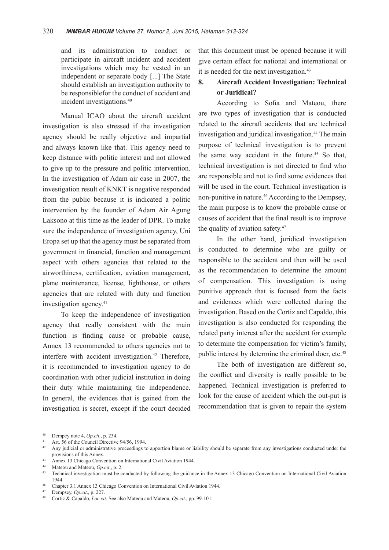and its administration to conduct or participate in aircraft incident and accident investigations which may be vested in an independent or separate body [...] The State should establish an investigation authority to be responsiblefor the conduct of accident and incident investigations.40

Manual ICAO about the aircraft accident investigation is also stressed if the investigation agency should be really objective and impartial and always known like that. This agency need to keep distance with politic interest and not allowed to give up to the pressure and politic intervention. In the investigation of Adam air case in 2007, the investigation result of KNKT is negative responded from the public because it is indicated a politic intervention by the founder of Adam Air Agung Laksono at this time as the leader of DPR. To make sure the independence of investigation agency, Uni Eropa set up that the agency must be separated from government in financial, function and management aspect with others agencies that related to the airworthiness, certification, aviation management, plane maintenance, license, lighthouse, or others agencies that are related with duty and function investigation agency.<sup>41</sup>

To keep the independence of investigation agency that really consistent with the main function is finding cause or probable cause, Annex 13 recommended to others agencies not to interfere with accident investigation.<sup>42</sup> Therefore, it is recommended to investigation agency to do coordination with other judicial institution in doing their duty while maintaining the independence. In general, the evidences that is gained from the investigation is secret, except if the court decided

that this document must be opened because it will give certain effect for national and international or it is needed for the next investigation.<sup>43</sup>

## **8. Aircraft Accident Investigation: Technical or Juridical?**

According to Sofia and Mateou, there are two types of investigation that is conducted related to the aircraft accidents that are technical investigation and juridical investigation.<sup>44</sup> The main purpose of technical investigation is to prevent the same way accident in the future.45 So that, technical investigation is not directed to find who are responsible and not to find some evidences that will be used in the court. Technical investigation is non-punitive in nature.<sup>46</sup> According to the Dempsey, the main purpose is to know the probable cause or causes of accident that the final result is to improve the quality of aviation safety.<sup>47</sup>

In the other hand, juridical investigation is conducted to determine who are guilty or responsible to the accident and then will be used as the recommendation to determine the amount of compensation. This investigation is using punitive approach that is focused from the facts and evidences which were collected during the investigation. Based on the Cortiz and Capaldo, this investigation is also conducted for responding the related party interest after the accident for example to determine the compensation for victim's family, public interest by determine the criminal doer, etc.<sup>48</sup>

The both of investigation are different so, the conflict and diversity is really possible to be happened. Technical investigation is preferred to look for the cause of accident which the out-put is recommendation that is given to repair the system

<sup>40</sup> Dempey note 4, *Op.cit*., p. 234. 41 Art. 56 of the Council Directive 94/56, 1994.

<sup>&</sup>lt;sup>42</sup> Any judicial or administrative proceedings to apportion blame or liability should be separate from any investigations conducted under the provisions of this Annex.

<sup>&</sup>lt;sup>43</sup> Annex 13 Chicago Convention on International Civil Aviation 1944.

<sup>44</sup> Mateou and Mateou, *Op.cit*., p. 2.

<sup>45</sup> Technical investigation must be conducted by following the guidance in the Annex 13 Chicago Convention on International Civil Aviation 1944.

<sup>46</sup> Chapter 3.1 Annex 13 Chicago Convention on International Civil Aviation 1944.

<sup>&</sup>lt;sup>47</sup> Dempsey, *Op.cit.*, p. 227.

<sup>48</sup> Cortiz & Capaldo, *Loc.cit*. See also Mateou and Mateou, *Op.cit*., pp. 99-101.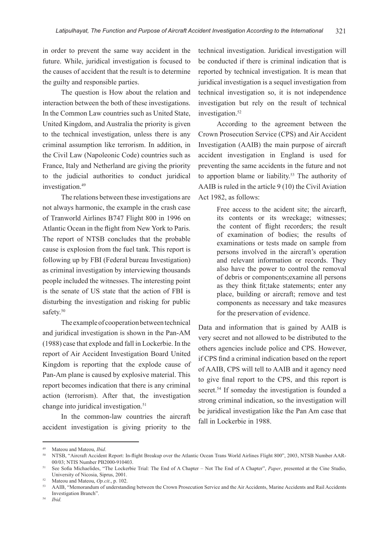in order to prevent the same way accident in the future. While, juridical investigation is focused to the causes of accident that the result is to determine the guilty and responsible parties.

The question is How about the relation and interaction between the both of these investigations. In the Common Law countries such as United State, United Kingdom, and Australia the priority is given to the technical investigation, unless there is any criminal assumption like terrorism. In addition, in the Civil Law (Napoleonic Code) countries such as France, Italy and Netherland are giving the priority to the judicial authorities to conduct juridical investigation.<sup>49</sup>

The relations between these investigations are not always harmonic, the example in the crash case of Tranworld Airlines B747 Flight 800 in 1996 on Atlantic Ocean in the flight from New York to Paris. The report of NTSB concludes that the probable cause is explosion from the fuel tank. This report is following up by FBI (Federal bureau Investigation) as criminal investigation by interviewing thousands people included the witnesses. The interesting point is the senate of US state that the action of FBI is disturbing the investigation and risking for public safety.<sup>50</sup>

The example of cooperation between technical and juridical investigation is shown in the Pan-AM (1988) case that explode and fall in Lockerbie. In the report of Air Accident Investigation Board United Kingdom is reporting that the explode cause of Pan-Am plane is caused by explosive material. This report becomes indication that there is any criminal action (terrorism). After that, the investigation change into juridical investigation.<sup>51</sup>

In the common-law countries the aircraft accident investigation is giving priority to the

technical investigation. Juridical investigation will be conducted if there is criminal indication that is reported by technical investigation. It is mean that juridical investigation is a sequel investigation from technical investigation so, it is not independence investigation but rely on the result of technical investigation.<sup>52</sup>

According to the agreement between the Crown Prosecution Service (CPS) and Air Accident Investigation (AAIB) the main purpose of aircraft accident investigation in England is used for preventing the same accidents in the future and not to apportion blame or liability.<sup>53</sup> The authority of AAIB is ruled in the article 9 (10) the Civil Aviation Act 1982, as follows:

> Free access to the acident site; the aircarft, its contents or its wreckage; witnesses; the content of flight recorders; the result of examination of bodies; the results of examinations or tests made on sample from persons involved in the aircraft's operation and relevant information or records. They also have the power to control the removal of debris or components;examine all persons as they think fit;take statements; enter any place, building or aircraft; remove and test components as necessary and take measures for the preservation of evidence.

Data and information that is gained by AAIB is very secret and not allowed to be distributed to the others agencies include police and CPS. However, if CPS find a criminal indication based on the report of AAIB, CPS will tell to AAIB and it agency need to give final report to the CPS, and this report is secret.<sup>54</sup> If someday the investigation is founded a strong criminal indication, so the investigation will be juridical investigation like the Pan Am case that fall in Lockerbie in 1988.

<sup>&</sup>lt;sup>49</sup> Mateou and Mateou, *Ibid.* 60 *Ibid.* 50 No. *10 Atlantic Deem Trans World Airlines Flight* 800<sup>9</sup>, 2003, NTSB Number AAR-00/03; NTIS Number PB2000-910403.

<sup>51</sup> See Sofia Michaelides, "The Lockerbie Trial: The End of A Chapter – Not The End of A Chapter", *Paper*, presented at the Cine Studio, University of Nicosia, Siprus, 2001.

 $^{52}$  Mateou and Mateou, *Op.cit.*, p. 102.

<sup>53</sup> AAIB, "Memorandum of understanding between the Crown Prosecution Service and the Air Accidents, Marine Accidents and Rail Accidents Investigation Branch".

<sup>54</sup> *Ibid.*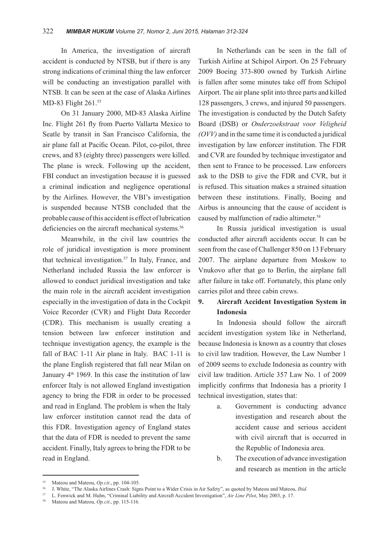In America, the investigation of aircraft accident is conducted by NTSB, but if there is any strong indications of criminal thing the law enforcer will be conducting an investigation parallel with NTSB. It can be seen at the case of Alaska Airlines MD-83 Flight 261.55

On 31 January 2000, MD-83 Alaska Airline Inc. Flight 261 fly from Puerto Vallarta Mexico to Seatle by transit in San Francisco California, the air plane fall at Pacific Ocean. Pilot, co-pilot, three crews, and 83 (eighty three) passengers were killed. The plane is wreck. Following up the accident, FBI conduct an investigation because it is guessed a criminal indication and negligence operational by the Airlines. However, the VBI's investigation is suspended because NTSB concluded that the probable cause of this accident is effect of lubrication deficiencies on the aircraft mechanical systems.<sup>56</sup>

Meanwhile, in the civil law countries the role of juridical investigation is more prominent that technical investigation.<sup>57</sup> In Italy, France, and Netherland included Russia the law enforcer is allowed to conduct juridical investigation and take the main role in the aircraft accident investigation especially in the investigation of data in the Cockpit Voice Recorder (CVR) and Flight Data Recorder (CDR). This mechanism is usually creating a tension between law enforcer institution and technique investigation agency, the example is the fall of BAC 1-11 Air plane in Italy. BAC 1-11 is the plane English registered that fall near Milan on January  $4<sup>th</sup>$  1969. In this case the institution of law enforcer Italy is not allowed England investigation agency to bring the FDR in order to be processed and read in England. The problem is when the Italy law enforcer institution cannot read the data of this FDR. Investigation agency of England states that the data of FDR is needed to prevent the same accident. Finally, Italy agrees to bring the FDR to be read in England.

In Netherlands can be seen in the fall of Turkish Airline at Schipol Airport. On 25 February 2009 Boeing 373-800 owned by Turkish Airline is fallen after some minutes take off from Schipol Airport. The air plane split into three parts and killed 128 passengers, 3 crews, and injured 50 passengers. The investigation is conducted by the Dutch Safety Board (DSB) or *Onderzoekstraat voor Veligheid (OVV)* and in the same time it is conducted a juridical investigation by law enforcer institution. The FDR and CVR are founded by technique investigator and then sent to France to be processed. Law enforcers ask to the DSB to give the FDR and CVR, but it is refused. This situation makes a strained situation between these institutions. Finally, Boeing and Airbus is announcing that the cause of accident is caused by malfunction of radio altimeter.<sup>58</sup>

In Russia juridical investigation is usual conducted after aircraft accidents occur. It can be seen from the case of Challenger 850 on 13 February 2007. The airplane departure from Moskow to Vnukovo after that go to Berlin, the airplane fall after failure in take off. Fortunately, this plane only carries pilot and three cabin crews.

## **9. Aircraft Accident Investigation System in Indonesia**

In Indonesia should follow the aircraft accident investigation system like in Netherland, because Indonesia is known as a country that closes to civil law tradition. However, the Law Number 1 of 2009 seems to exclude Indonesia as country with civil law tradition. Article 357 Law No. 1 of 2009 implicitly confirms that Indonesia has a priority I technical investigation, states that:

- a. Government is conducting advance investigation and research about the accident cause and serious accident with civil aircraft that is occurred in the Republic of Indonesia area.
- b. The execution of advance investigation and research as mention in the article

<sup>&</sup>lt;sup>55</sup> Mateou and Mateou, *Op.cit.*, pp. 104-105.<br><sup>56</sup> I White "The Alaska Airlines Crash: Sign

<sup>56</sup> J. White, "The Alaska Airlines Crash: Signs Point to a Wider Crisis in Air Safety", as quoted by Mateou and Mateou, *Ibid.*

<sup>57</sup> L. Fenwick and M. Huhn, "Criminal Liability and Aircraft Accident Investigation", *Air Line Pilot*, May 2003, p. 17.

Mateou and Mateou, *Op.cit.*, pp. 115-116.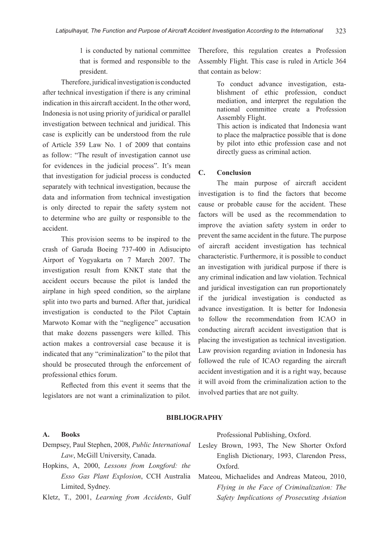1 is conducted by national committee that is formed and responsible to the president.

Therefore, juridical investigation is conducted after technical investigation if there is any criminal indication in this aircraft accident. In the other word, Indonesia is not using priority of juridical or parallel investigation between technical and juridical. This case is explicitly can be understood from the rule of Article 359 Law No. 1 of 2009 that contains as follow: "The result of investigation cannot use for evidences in the judicial process". It's mean that investigation for judicial process is conducted separately with technical investigation, because the data and information from technical investigation is only directed to repair the safety system not to determine who are guilty or responsible to the accident.

This provision seems to be inspired to the crash of Garuda Boeing 737-400 in Adisucipto Airport of Yogyakarta on 7 March 2007. The investigation result from KNKT state that the accident occurs because the pilot is landed the airplane in high speed condition, so the airplane split into two parts and burned. After that, juridical investigation is conducted to the Pilot Captain Marwoto Komar with the "negligence" accusation that make dozens passengers were killed. This action makes a controversial case because it is indicated that any "criminalization" to the pilot that should be prosecuted through the enforcement of professional ethics forum.

Reflected from this event it seems that the legislators are not want a criminalization to pilot. Therefore, this regulation creates a Profession Assembly Flight. This case is ruled in Article 364 that contain as below:

> To conduct advance investigation, establishment of ethic profession, conduct mediation, and interpret the regulation the national committee create a Profession Assembly Flight. This action is indicated that Indonesia want to place the malpractice possible that is done by pilot into ethic profession case and not directly guess as criminal action.

#### **C. Conclusion**

The main purpose of aircraft accident investigation is to find the factors that become cause or probable cause for the accident. These factors will be used as the recommendation to improve the aviation safety system in order to prevent the same accident in the future. The purpose of aircraft accident investigation has technical characteristic. Furthermore, it is possible to conduct an investigation with juridical purpose if there is any criminal indication and law violation. Technical and juridical investigation can run proportionately if the juridical investigation is conducted as advance investigation. It is better for Indonesia to follow the recommendation from ICAO in conducting aircraft accident investigation that is placing the investigation as technical investigation. Law provision regarding aviation in Indonesia has followed the rule of ICAO regarding the aircraft accident investigation and it is a right way, because it will avoid from the criminalization action to the involved parties that are not guilty.

#### **BIBLIOGRAPHY**

#### **A. Books**

- Dempsey, Paul Stephen, 2008, *Public International Law*, McGill University, Canada.
- Hopkins, A, 2000, *Lessons from Longford: the Esso Gas Plant Explosion*, CCH Australia Limited, Sydney.

Kletz, T., 2001, *Learning from Accidents*, Gulf

Professional Publishing, Oxford.

- Lesley Brown, 1993, The New Shorter Oxford English Dictionary, 1993, Clarendon Press, Oxford.
- Mateou, Michaelides and Andreas Mateou, 2010, *Flying in the Face of Criminalization: The Safety Implications of Prosecuting Aviation*